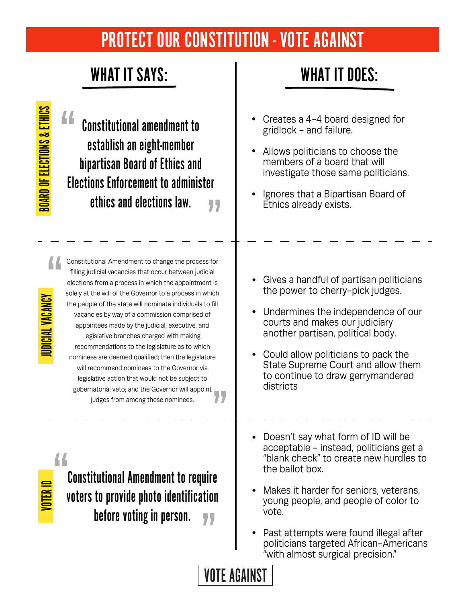## PROTECT OUR CONSTITUTION - VOTE AGAINST

### WHAT IT SAYS: WHAT IT DOES:

**BOARD OF ELECTIONS & ETHICS** BOARD OF ELECTIONS & ETHICS 44 Creates a 4-4 board designed for Constitutional amendment to gridlock - and failure. establish an eight-member Allows politicians to choose the bipartisan Board of Ethics and members of a board that will investigate those same politicians. Elections Enforcement to administer Ignores that a Bipartisan Board of ethics and elections law. 77 Ethics already exists. Constitutional Amendment to change the process for filling judicial vacancies that occur between judicial Gives a handful of partisan politicians elections from a process in which the appointment is the power to cherry-pick judges. solely at the will of the Governor to a process in which JUDICIAL VACANCY IDICIAL VACANCY the people of the state will nominate individuals to fill Undermines the independence of our vacancies by way of a commission comprised of courts and makes our judiciary appointees made by the judicial, executive, and another partisan, political body. legislative branches charged with making recommendations to the legislature as to which Could allow politicians to pack the nominees are deemed qualified; then the legislature State Supreme Court and allow them will recommend nominees to the Governor via to continue to draw gerrymandered legislative action that would not be subject to districts gubernatorial veto; and the Governor will appoint judges from among these nominees. Doesn't say what form of ID will be acceptable - instead, politicians get a 44 "blank check" to create new hurdles to the ballot box. Constitutional Amendment to require VOTER I Makes it harder for seniors, veterans, voters to provide photo identification young people, and people of color to vote. before voting in person. 77 Past attempts were found illegal after politicians targeted African-Americans "with almost surgical precision." VOTE AGAINST